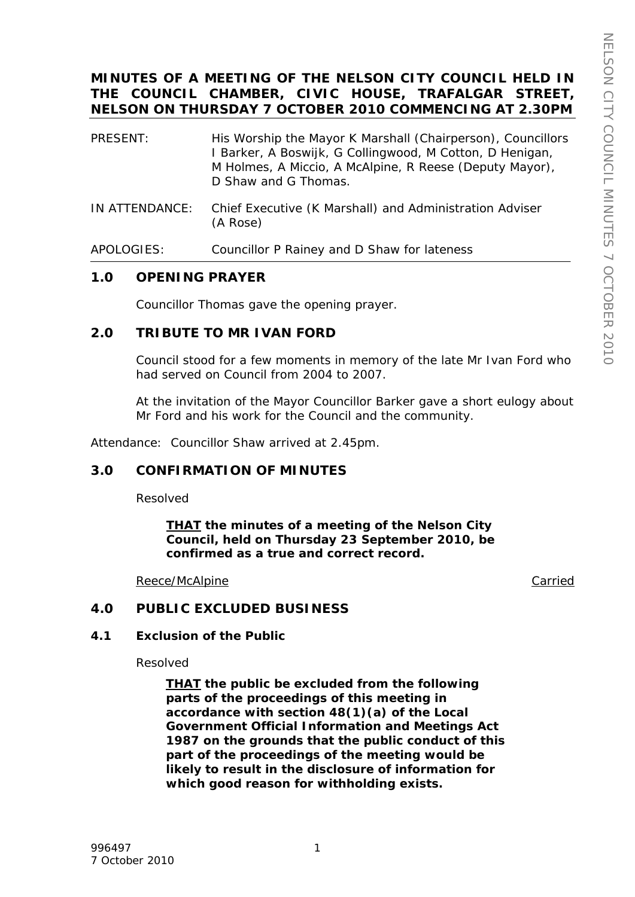# **MINUTES OF A MEETING OF THE NELSON CITY COUNCIL HELD IN THE COUNCIL CHAMBER, CIVIC HOUSE, TRAFALGAR STREET, NELSON ON THURSDAY 7 OCTOBER 2010 COMMENCING AT 2.30PM**

- PRESENT: His Worship the Mayor K Marshall (Chairperson), Councillors I Barker, A Boswijk, G Collingwood, M Cotton, D Henigan, M Holmes, A Miccio, A McAlpine, R Reese (Deputy Mayor), D Shaw and G Thomas.
- IN ATTENDANCE: Chief Executive (K Marshall) and Administration Adviser (A Rose)
- APOLOGIES: Councillor P Rainey and D Shaw for lateness

# **1.0 OPENING PRAYER**

Councillor Thomas gave the opening prayer.

# **2.0 TRIBUTE TO MR IVAN FORD**

Council stood for a few moments in memory of the late Mr Ivan Ford who had served on Council from 2004 to 2007.

At the invitation of the Mayor Councillor Barker gave a short eulogy about Mr Ford and his work for the Council and the community.

Attendance: Councillor Shaw arrived at 2.45pm.

# **3.0 CONFIRMATION OF MINUTES**

Resolved

*THAT the minutes of a meeting of the Nelson City Council, held on Thursday 23 September 2010, be confirmed as a true and correct record.* 

Reece/McAlpine **Carried** 

# **4.0 PUBLIC EXCLUDED BUSINESS**

#### **4.1 Exclusion of the Public**

Resolved

*THAT the public be excluded from the following parts of the proceedings of this meeting in accordance with section 48(1)(a) of the Local Government Official Information and Meetings Act 1987 on the grounds that the public conduct of this part of the proceedings of the meeting would be likely to result in the disclosure of information for which good reason for withholding exists.*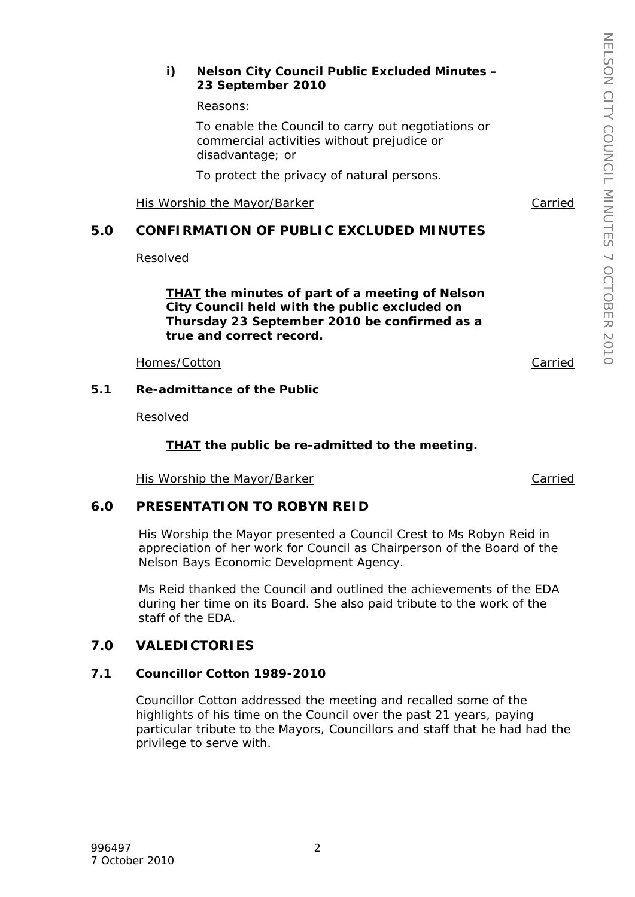#### *i) Nelson City Council Public Excluded Minutes – 23 September 2010*

*Reasons:* 

*To enable the Council to carry out negotiations or commercial activities without prejudice or disadvantage; or* 

*To protect the privacy of natural persons.*

His Worship the Mayor/Barker Carried

# **5.0 CONFIRMATION OF PUBLIC EXCLUDED MINUTES**

Resolved

*THAT the minutes of part of a meeting of Nelson City Council held with the public excluded on Thursday 23 September 2010 be confirmed as a true and correct record.* 

Homes/Cotton Carried

#### **5.1 Re-admittance of the Public**

Resolved

### *THAT the public be re-admitted to the meeting.*

His Worship the Mayor/Barker Carried Carried

# **6.0 PRESENTATION TO ROBYN REID**

His Worship the Mayor presented a Council Crest to Ms Robyn Reid in appreciation of her work for Council as Chairperson of the Board of the Nelson Bays Economic Development Agency.

Ms Reid thanked the Council and outlined the achievements of the EDA during her time on its Board. She also paid tribute to the work of the staff of the EDA.

# **7.0 VALEDICTORIES**

# **7.1 Councillor Cotton 1989-2010**

Councillor Cotton addressed the meeting and recalled some of the highlights of his time on the Council over the past 21 years, paying particular tribute to the Mayors, Councillors and staff that he had had the privilege to serve with.